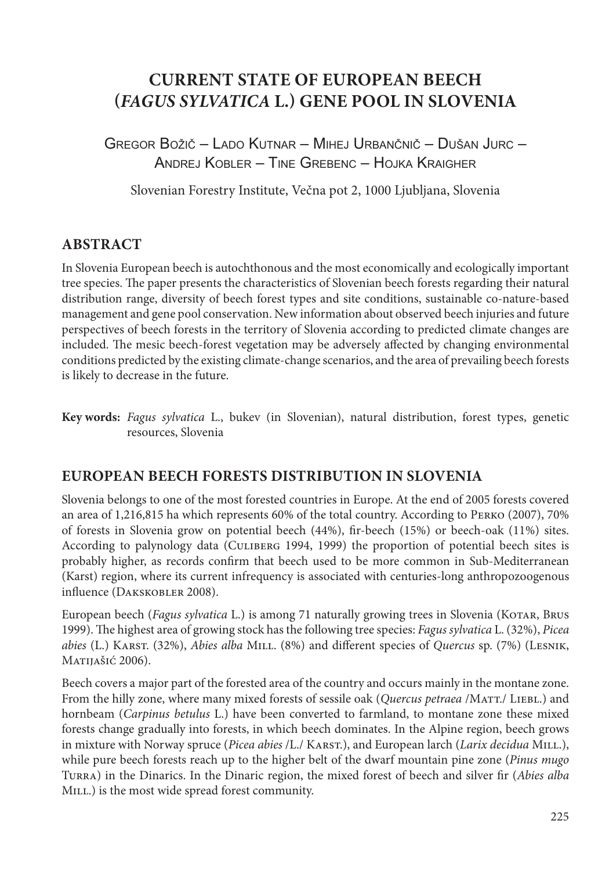# **CURRENT STATE OF EUROPEAN BEECH (***FAGUS SYLVATICA* **L.) GENE POOL IN SLOVENIA**

GREGOR BOŽIČ – LADO KUTNAR – MIHEJ URBANČNIČ – DUŠAN JURC – ANDREJ KOBLER – TINE GREBENC – HOJKA KRAIGHER

Slovenian Forestry Institute, Večna pot 2, 1000 Ljubljana, Slovenia

# **ABSTRACT**

In Slovenia European beech is autochthonous and the most economically and ecologically important tree species. The paper presents the characteristics of Slovenian beech forests regarding their natural distribution range, diversity of beech forest types and site conditions, sustainable co-nature-based management and gene pool conservation. New information about observed beech injuries and future perspectives of beech forests in the territory of Slovenia according to predicted climate changes are included. The mesic beech-forest vegetation may be adversely affected by changing environmental conditions predicted by the existing climate-change scenarios, and the area of prevailing beech forests is likely to decrease in the future.

**Key words:** *Fagus sylvatica* L., bukev (in Slovenian), natural distribution, forest types, genetic resources, Slovenia

## **EUROPEAN BEECH FORESTS DISTRIBUTION IN SLOVENIA**

Slovenia belongs to one of the most forested countries in Europe. At the end of 2005 forests covered an area of 1,216,815 ha which represents 60% of the total country. According to Perko (2007), 70% of forests in Slovenia grow on potential beech (44%), fir-beech (15%) or beech-oak (11%) sites. According to palynology data (Culiberg 1994, 1999) the proportion of potential beech sites is probably higher, as records confirm that beech used to be more common in Sub-Mediterranean (Karst) region, where its current infrequency is associated with centuries-long anthropozoogenous influence (Dakskobler 2008).

European beech (*Fagus sylvatica* L.) is among 71 naturally growing trees in Slovenia (Kotar, Brus 1999). The highest area of growing stock has the following tree species: *Fagus sylvatica* L. (32%), *Picea abies* (L.) Karst. (32%), *Abies alba* Mill. (8%) and different species of *Quercus* sp. (7%) (Lesnik, Matijašić 2006).

Beech covers a major part of the forested area of the country and occurs mainly in the montane zone. From the hilly zone, where many mixed forests of sessile oak (*Quercus petraea* /MATT./ LIEBL.) and hornbeam (*Carpinus betulus* L.) have been converted to farmland, to montane zone these mixed forests change gradually into forests, in which beech dominates. In the Alpine region, beech grows in mixture with Norway spruce (*Picea abies* /L./ Karst.), and European larch (*Larix decidua* Mill.), while pure beech forests reach up to the higher belt of the dwarf mountain pine zone (*Pinus mugo* Turra) in the Dinarics. In the Dinaric region, the mixed forest of beech and silver fir (*Abies alba* MILL.) is the most wide spread forest community.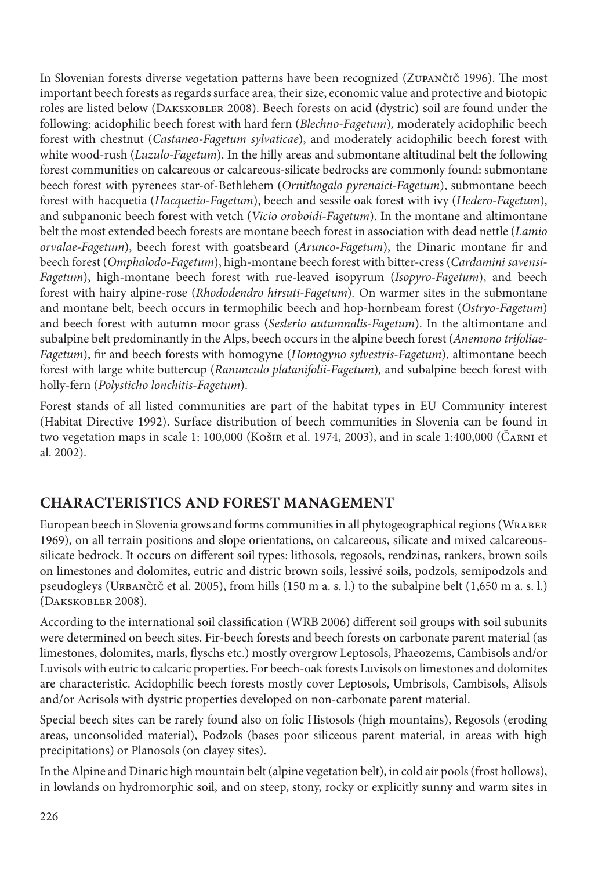In Slovenian forests diverse vegetation patterns have been recognized (Zupančič 1996). The most important beech forests as regards surface area, their size, economic value and protective and biotopic roles are listed below (Dakskobler 2008). Beech forests on acid (dystric) soil are found under the following: acidophilic beech forest with hard fern (*Blechno-Fagetum*)*,* moderately acidophilic beech forest with chestnut (*Castaneo-Fagetum sylvaticae*), and moderately acidophilic beech forest with white wood-rush (*Luzulo-Fagetum*). In the hilly areas and submontane altitudinal belt the following forest communities on calcareous or calcareous-silicate bedrocks are commonly found: submontane beech forest with pyrenees star-of-Bethlehem (*Ornithogalo pyrenaici-Fagetum*), submontane beech forest with hacquetia (*Hacquetio-Fagetum*), beech and sessile oak forest with ivy (*Hedero-Fagetum*), and subpanonic beech forest with vetch (*Vicio oroboidi-Fagetum*). In the montane and altimontane belt the most extended beech forests are montane beech forest in association with dead nettle (*Lamio orvalae-Fagetum*), beech forest with goatsbeard (*Arunco-Fagetum*), the Dinaric montane fir and beech forest (*Omphalodo-Fagetum*), high-montane beech forest with bitter-cress (*Cardamini savensi-Fagetum*), high-montane beech forest with rue-leaved isopyrum (*Isopyro-Fagetum*), and beech forest with hairy alpine-rose (*Rhododendro hirsuti-Fagetum*)*.* On warmer sites in the submontane and montane belt, beech occurs in termophilic beech and hop-hornbeam forest (*Ostryo-Fagetum*) and beech forest with autumn moor grass (*Seslerio autumnalis-Fagetum*). In the altimontane and subalpine belt predominantly in the Alps, beech occurs in the alpine beech forest (*Anemono trifoliae-Fagetum*), fir and beech forests with homogyne (*Homogyno sylvestris-Fagetum*), altimontane beech forest with large white buttercup (*Ranunculo platanifolii-Fagetum*)*,* and subalpine beech forest with holly-fern (*Polysticho lonchitis-Fagetum*).

Forest stands of all listed communities are part of the habitat types in EU Community interest (Habitat Directive 1992). Surface distribution of beech communities in Slovenia can be found in two vegetation maps in scale 1: 100,000 (Košir et al. 1974, 2003), and in scale 1:400,000 (Čarni et al. 2002).

# **CHARACTERISTICS AND FOREST MANAGEMENT**

European beech in Slovenia grows and forms communities in all phytogeographical regions (Wraber 1969), on all terrain positions and slope orientations, on calcareous, silicate and mixed calcareoussilicate bedrock. It occurs on different soil types: lithosols, regosols, rendzinas, rankers, brown soils on limestones and dolomites, eutric and distric brown soils, lessivé soils, podzols, semipodzols and pseudogleys (Urbančič et al. 2005), from hills (150 m a. s. l.) to the subalpine belt (1,650 m a. s. l.) (Dakskobler 2008).

According to the international soil classification (WRB 2006) different soil groups with soil subunits were determined on beech sites. Fir-beech forests and beech forests on carbonate parent material (as limestones, dolomites, marls, flyschs etc.) mostly overgrow Leptosols, Phaeozems, Cambisols and/or Luvisols with eutric to calcaric properties. For beech-oak forests Luvisols on limestones and dolomites are characteristic. Acidophilic beech forests mostly cover Leptosols, Umbrisols, Cambisols, Alisols and/or Acrisols with dystric properties developed on non-carbonate parent material.

Special beech sites can be rarely found also on folic Histosols (high mountains), Regosols (eroding areas, unconsolided material), Podzols (bases poor siliceous parent material, in areas with high precipitations) or Planosols (on clayey sites).

In the Alpine and Dinaric high mountain belt (alpine vegetation belt), in cold air pools (frost hollows), in lowlands on hydromorphic soil, and on steep, stony, rocky or explicitly sunny and warm sites in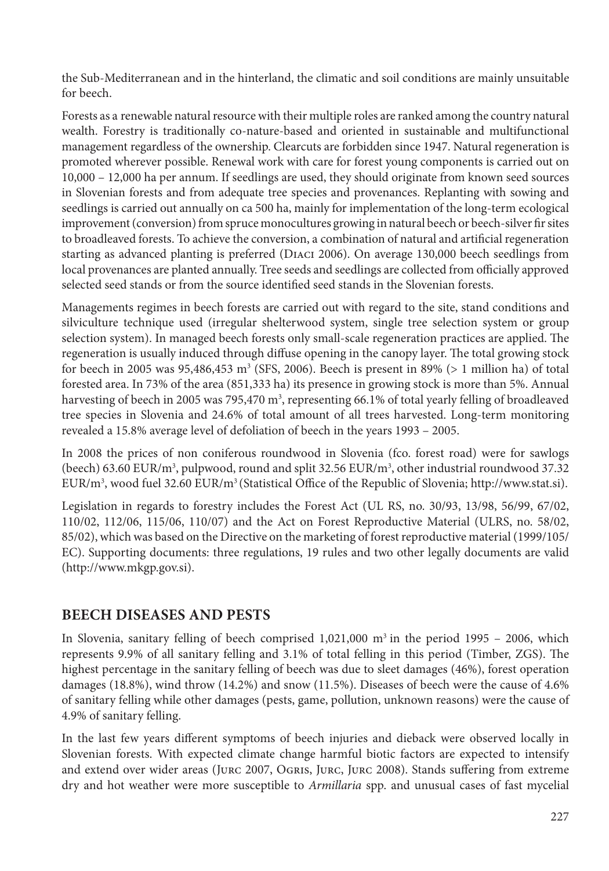the Sub-Mediterranean and in the hinterland, the climatic and soil conditions are mainly unsuitable for beech.

Forests as a renewable natural resource with their multiple roles are ranked among the country natural wealth. Forestry is traditionally co-nature-based and oriented in sustainable and multifunctional management regardless of the ownership. Clearcuts are forbidden since 1947. Natural regeneration is promoted wherever possible. Renewal work with care for forest young components is carried out on 10,000 – 12,000 ha per annum. If seedlings are used, they should originate from known seed sources in Slovenian forests and from adequate tree species and provenances. Replanting with sowing and seedlings is carried out annually on ca 500 ha, mainly for implementation of the long-term ecological improvement (conversion) from spruce monocultures growing in natural beech or beech-silver fir sites to broadleaved forests. To achieve the conversion, a combination of natural and artificial regeneration starting as advanced planting is preferred (Diaci 2006). On average 130,000 beech seedlings from local provenances are planted annually. Tree seeds and seedlings are collected from officially approved selected seed stands or from the source identified seed stands in the Slovenian forests.

Managements regimes in beech forests are carried out with regard to the site, stand conditions and silviculture technique used (irregular shelterwood system, single tree selection system or group selection system). In managed beech forests only small-scale regeneration practices are applied. The regeneration is usually induced through diffuse opening in the canopy layer. The total growing stock for beech in 2005 was 95,486,453  $\text{m}^3$  (SFS, 2006). Beech is present in 89% (> 1 million ha) of total forested area. In 73% of the area (851,333 ha) its presence in growing stock is more than 5%. Annual harvesting of beech in 2005 was 795,470 m<sup>3</sup>, representing 66.1% of total yearly felling of broadleaved tree species in Slovenia and 24.6% of total amount of all trees harvested. Long-term monitoring revealed a 15.8% average level of defoliation of beech in the years 1993 – 2005.

In 2008 the prices of non coniferous roundwood in Slovenia (fco. forest road) were for sawlogs (beech) 63.60 EUR/m<sup>3</sup>, pulpwood, round and split 32.56 EUR/m<sup>3</sup>, other industrial roundwood 37.32 EUR/m3 , wood fuel 32.60 EUR/m3 (Statistical Office of the Republic of Slovenia; http://www.stat.si).

Legislation in regards to forestry includes the Forest Act (UL RS, no. 30/93, 13/98, 56/99, 67/02, 110/02, 112/06, 115/06, 110/07) and the Act on Forest Reproductive Material (ULRS, no. 58/02, 85/02), which was based on the Directive on the marketing of forest reproductive material (1999/105/ EC). Supporting documents: three regulations, 19 rules and two other legally documents are valid (http://www.mkgp.gov.si).

## **BEECH DISEASES AND PESTS**

In Slovenia, sanitary felling of beech comprised  $1,021,000$  m<sup>3</sup> in the period 1995 – 2006, which represents 9.9% of all sanitary felling and 3.1% of total felling in this period (Timber, ZGS). The highest percentage in the sanitary felling of beech was due to sleet damages (46%), forest operation damages (18.8%), wind throw (14.2%) and snow (11.5%). Diseases of beech were the cause of 4.6% of sanitary felling while other damages (pests, game, pollution, unknown reasons) were the cause of 4.9% of sanitary felling.

In the last few years different symptoms of beech injuries and dieback were observed locally in Slovenian forests. With expected climate change harmful biotic factors are expected to intensify and extend over wider areas (Jurc 2007, Ogris, Jurc, Jurc 2008). Stands suffering from extreme dry and hot weather were more susceptible to *Armillaria* spp. and unusual cases of fast mycelial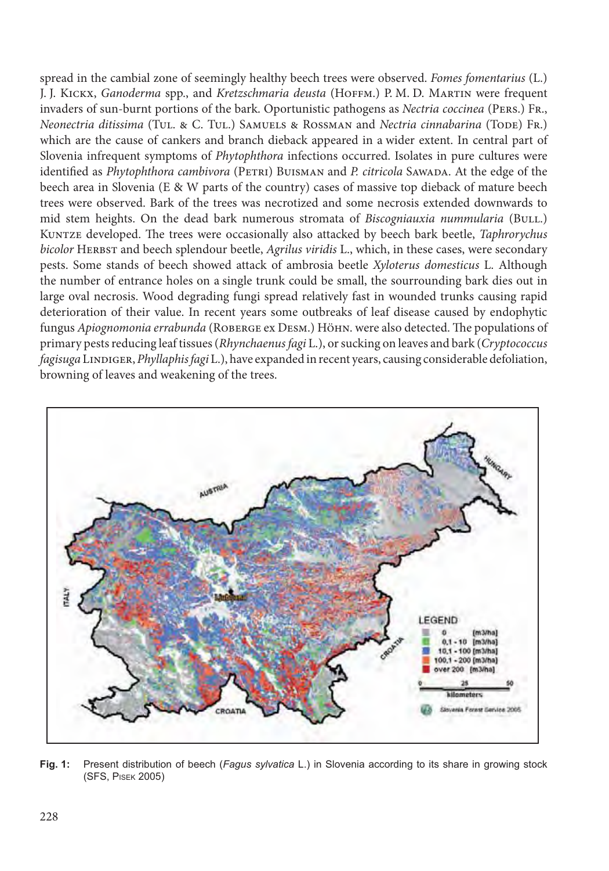spread in the cambial zone of seemingly healthy beech trees were observed. *Fomes fomentarius* (L.) J. J. Kickx, *Ganoderma* spp., and *Kretzschmaria deusta* (Hoffm.) P. M. D. Martin were frequent invaders of sun-burnt portions of the bark. Oportunistic pathogens as *Nectria coccinea* (Pers.) Fr., *Neonectria ditissima* (Tul. & C. Tul.) Samuels & Rossman and *Nectria cinnabarina* (Tode) Fr.) which are the cause of cankers and branch dieback appeared in a wider extent. In central part of Slovenia infrequent symptoms of *Phytophthora* infections occurred. Isolates in pure cultures were identified as *Phytophthora cambivora* (PETRI) BUISMAN and *P. citricola* SAWADA. At the edge of the beech area in Slovenia (E & W parts of the country) cases of massive top dieback of mature beech trees were observed. Bark of the trees was necrotized and some necrosis extended downwards to mid stem heights. On the dead bark numerous stromata of *Biscogniauxia nummularia* (BULL.) Kuntze developed. The trees were occasionally also attacked by beech bark beetle, *Taphrorychus bicolor* HERBST and beech splendour beetle, *Agrilus viridis* L., which, in these cases, were secondary pests. Some stands of beech showed attack of ambrosia beetle *Xyloterus domesticus* L. Although the number of entrance holes on a single trunk could be small, the sourrounding bark dies out in large oval necrosis. Wood degrading fungi spread relatively fast in wounded trunks causing rapid deterioration of their value. In recent years some outbreaks of leaf disease caused by endophytic fungus *Apiognomonia errabunda* (ROBERGE ex DESM.) HÖHN. were also detected. The populations of primary pests reducing leaf tissues (*Rhynchaenus fagi* L.), or sucking on leaves and bark (*Cryptococcus fagisuga* Lindiger, *Phyllaphis fagi* L.), have expanded in recent years, causing considerable defoliation, browning of leaves and weakening of the trees.



Fig. 1: Present distribution of beech (Fagus sylvatica L.) in Slovenia according to its share in growing stock (SFS, PISEK 2005)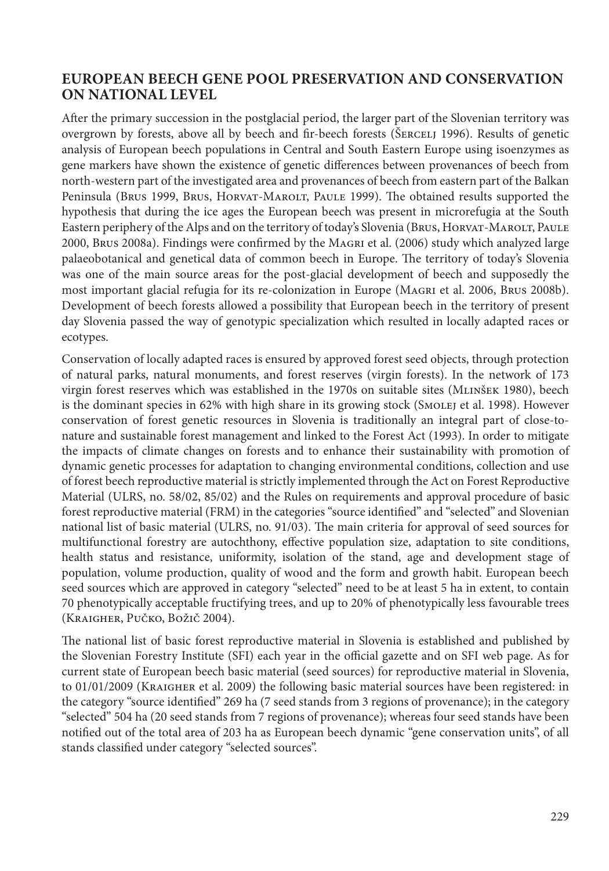#### **EUROPEAN BEECH GENE POOL PRESERVATION AND CONSERVATION ON NATIONAL LEVEL**

After the primary succession in the postglacial period, the larger part of the Slovenian territory was overgrown by forests, above all by beech and fir-beech forests (ŠERCELJ 1996). Results of genetic analysis of European beech populations in Central and South Eastern Europe using isoenzymes as gene markers have shown the existence of genetic differences between provenances of beech from north-western part of the investigated area and provenances of beech from eastern part of the Balkan Peninsula (Brus 1999, Brus, Horvat-Marolt, Paule 1999). The obtained results supported the hypothesis that during the ice ages the European beech was present in microrefugia at the South Eastern periphery of the Alps and on the territory of today's Slovenia (Brus, Horvat-Marolt, Paule 2000, Brus 2008a). Findings were confirmed by the Magri et al. (2006) study which analyzed large palaeobotanical and genetical data of common beech in Europe. The territory of today's Slovenia was one of the main source areas for the post-glacial development of beech and supposedly the most important glacial refugia for its re-colonization in Europe (Magri et al. 2006, Brus 2008b). Development of beech forests allowed a possibility that European beech in the territory of present day Slovenia passed the way of genotypic specialization which resulted in locally adapted races or ecotypes.

Conservation of locally adapted races is ensured by approved forest seed objects, through protection of natural parks, natural monuments, and forest reserves (virgin forests). In the network of 173 virgin forest reserves which was established in the 1970s on suitable sites (MLINŠEK 1980), beech is the dominant species in 62% with high share in its growing stock (SMOLEJ et al. 1998). However conservation of forest genetic resources in Slovenia is traditionally an integral part of close-tonature and sustainable forest management and linked to the Forest Act (1993). In order to mitigate the impacts of climate changes on forests and to enhance their sustainability with promotion of dynamic genetic processes for adaptation to changing environmental conditions, collection and use of forest beech reproductive material is strictly implemented through the Act on Forest Reproductive Material (ULRS, no. 58/02, 85/02) and the Rules on requirements and approval procedure of basic forest reproductive material (FRM) in the categories "source identified" and "selected" and Slovenian national list of basic material (ULRS, no. 91/03). The main criteria for approval of seed sources for multifunctional forestry are autochthony, effective population size, adaptation to site conditions, health status and resistance, uniformity, isolation of the stand, age and development stage of population, volume production, quality of wood and the form and growth habit. European beech seed sources which are approved in category "selected" need to be at least 5 ha in extent, to contain 70 phenotypically acceptable fructifying trees, and up to 20% of phenotypically less favourable trees (Kraigher, Pučko, Božič 2004).

The national list of basic forest reproductive material in Slovenia is established and published by the Slovenian Forestry Institute (SFI) each year in the official gazette and on SFI web page. As for current state of European beech basic material (seed sources) for reproductive material in Slovenia, to 01/01/2009 (Kraigher et al. 2009) the following basic material sources have been registered: in the category "source identified" 269 ha (7 seed stands from 3 regions of provenance); in the category "selected" 504 ha (20 seed stands from 7 regions of provenance); whereas four seed stands have been notified out of the total area of 203 ha as European beech dynamic "gene conservation units", of all stands classified under category "selected sources".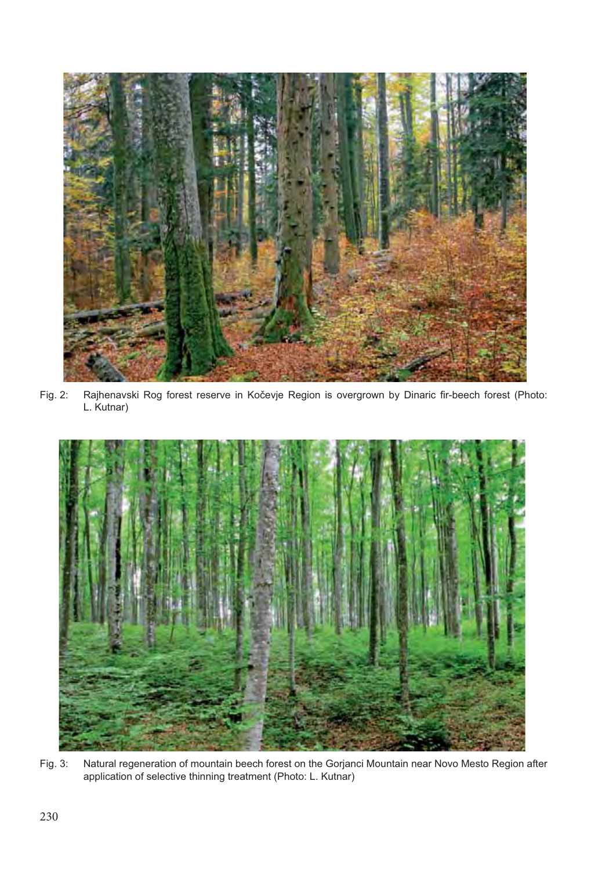

Fig. 2: Rajhenavski Rog forest reserve in Kočevje Region is overgrown by Dinaric fir-beech forest (Photo: L. Kutnar)



Fig. 3: Natural regeneration of mountain beech forest on the Gorjanci Mountain near Novo Mesto Region after application of selective thinning treatment (Photo: L. Kutnar)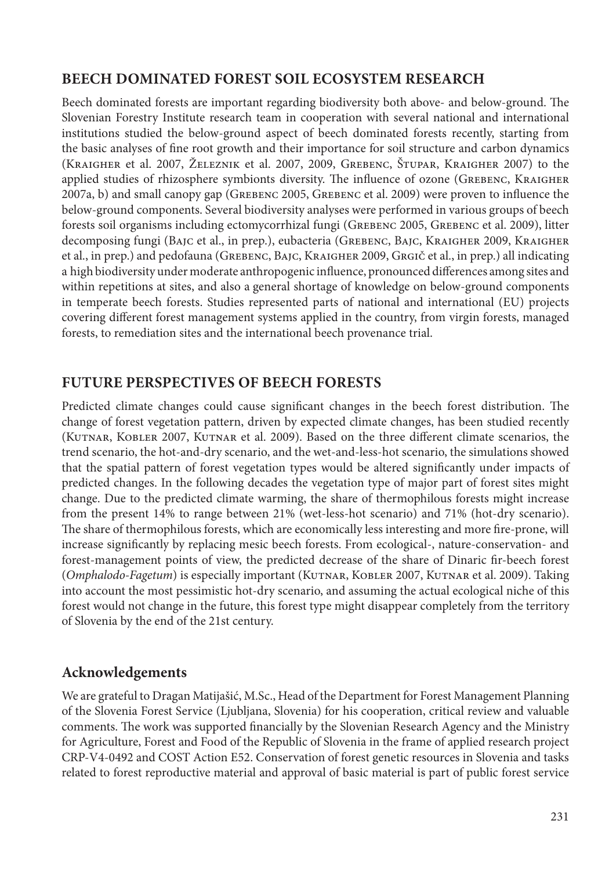# **BEECH DOMINATED FOREST SOIL ECOSYSTEM RESEARCH**

Beech dominated forests are important regarding biodiversity both above- and below-ground. The Slovenian Forestry Institute research team in cooperation with several national and international institutions studied the below-ground aspect of beech dominated forests recently, starting from the basic analyses of fine root growth and their importance for soil structure and carbon dynamics (Kraigher et al. 2007, Železnik et al. 2007, 2009, Grebenc, Štupar, Kraigher 2007) to the applied studies of rhizosphere symbionts diversity. The influence of ozone (Grebenc, Kraigher 2007a, b) and small canopy gap (Grebenc 2005, Grebenc et al. 2009) were proven to influence the below-ground components. Several biodiversity analyses were performed in various groups of beech forests soil organisms including ectomycorrhizal fungi (Grebenc 2005, Grebenc et al. 2009), litter decomposing fungi (Bajc et al., in prep.), eubacteria (GREBENC, BAJC, KRAIGHER 2009, KRAIGHER et al., in prep.) and pedofauna (GREBENC, BAJC, KRAIGHER 2009, GRGIČ et al., in prep.) all indicating a high biodiversity under moderate anthropogenic influence, pronounced differences among sites and within repetitions at sites, and also a general shortage of knowledge on below-ground components in temperate beech forests. Studies represented parts of national and international (EU) projects covering different forest management systems applied in the country, from virgin forests, managed forests, to remediation sites and the international beech provenance trial.

# **FUTURE PERSPECTIVES OF BEECH FORESTS**

Predicted climate changes could cause significant changes in the beech forest distribution. The change of forest vegetation pattern, driven by expected climate changes, has been studied recently (KUTNAR, KOBLER 2007, KUTNAR et al. 2009). Based on the three different climate scenarios, the trend scenario, the hot-and-dry scenario, and the wet-and-less-hot scenario, the simulations showed that the spatial pattern of forest vegetation types would be altered significantly under impacts of predicted changes. In the following decades the vegetation type of major part of forest sites might change. Due to the predicted climate warming, the share of thermophilous forests might increase from the present 14% to range between 21% (wet-less-hot scenario) and 71% (hot-dry scenario). The share of thermophilous forests, which are economically less interesting and more fire-prone, will increase significantly by replacing mesic beech forests. From ecological-, nature-conservation- and forest-management points of view, the predicted decrease of the share of Dinaric fir-beech forest (*Omphalodo-Fagetum*) is especially important (Kutnar, Kobler 2007, Kutnar et al. 2009). Taking into account the most pessimistic hot-dry scenario, and assuming the actual ecological niche of this forest would not change in the future, this forest type might disappear completely from the territory of Slovenia by the end of the 21st century.

## **Acknowledgements**

We are grateful to Dragan Matijašić, M.Sc., Head of the Department for Forest Management Planning of the Slovenia Forest Service (Ljubljana, Slovenia) for his cooperation, critical review and valuable comments. The work was supported financially by the Slovenian Research Agency and the Ministry for Agriculture, Forest and Food of the Republic of Slovenia in the frame of applied research project CRP-V4-0492 and COST Action E52. Conservation of forest genetic resources in Slovenia and tasks related to forest reproductive material and approval of basic material is part of public forest service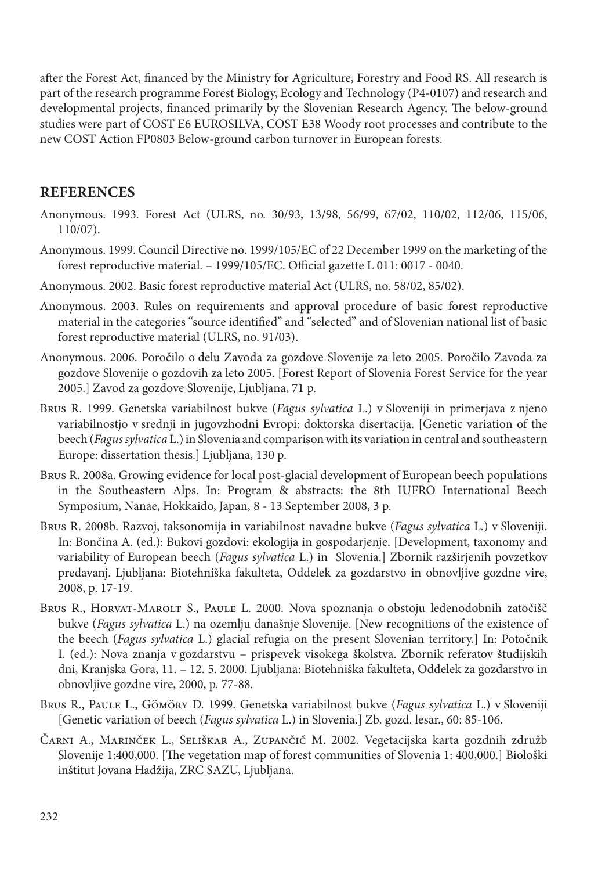after the Forest Act, financed by the Ministry for Agriculture, Forestry and Food RS. All research is part of the research programme Forest Biology, Ecology and Technology (P4-0107) and research and developmental projects, financed primarily by the Slovenian Research Agency. The below-ground studies were part of COST E6 EUROSILVA, COST E38 Woody root processes and contribute to the new COST Action FP0803 Below-ground carbon turnover in European forests.

#### **REFERENCES**

- Anonymous. 1993. Forest Act (ULRS, no. 30/93, 13/98, 56/99, 67/02, 110/02, 112/06, 115/06, 110/07).
- Anonymous. 1999. Council Directive no. 1999/105/EC of 22 December 1999 on the marketing of the forest reproductive material. – 1999/105/EC. Official gazette L 011: 0017 - 0040.
- Anonymous. 2002. Basic forest reproductive material Act (ULRS, no. 58/02, 85/02).
- Anonymous. 2003. Rules on requirements and approval procedure of basic forest reproductive material in the categories "source identified" and "selected" and of Slovenian national list of basic forest reproductive material (ULRS, no. 91/03).
- Anonymous. 2006. Poročilo o delu Zavoda za gozdove Slovenije za leto 2005. Poročilo Zavoda za gozdove Slovenije o gozdovih za leto 2005. [Forest Report of Slovenia Forest Service for the year 2005.] Zavod za gozdove Slovenije, Ljubljana, 71 p.
- Brus R. 1999. Genetska variabilnost bukve (*Fagus sylvatica* L.) v Sloveniji in primerjava z njeno variabilnostjo v srednji in jugovzhodni Evropi: doktorska disertacija. [Genetic variation of the beech (*Fagus sylvatica* L.) in Slovenia and comparison with its variation in central and southeastern Europe: dissertation thesis.] Ljubljana, 130 p.
- Brus R. 2008a. Growing evidence for local post-glacial development of European beech populations in the Southeastern Alps. In: Program & abstracts: the 8th IUFRO International Beech Symposium, Nanae, Hokkaido, Japan, 8 - 13 September 2008, 3 p.
- Brus R. 2008b. Razvoj, taksonomija in variabilnost navadne bukve (*Fagus sylvatica* L.) v Sloveniji. In: Bončina A. (ed.): Bukovi gozdovi: ekologija in gospodarjenje. [Development, taxonomy and variability of European beech (*Fagus sylvatica* L.) in Slovenia.] Zbornik razširjenih povzetkov predavanj. Ljubljana: Biotehniška fakulteta, Oddelek za gozdarstvo in obnovljive gozdne vire, 2008, p. 17-19.
- Brus R., HORVAT-MAROLT S., PAULE L. 2000. Nova spoznanja o obstoju ledenodobnih zatočišč bukve (*Fagus sylvatica* L.) na ozemlju današnje Slovenije. [New recognitions of the existence of the beech (*Fagus sylvatica* L.) glacial refugia on the present Slovenian territory.] In: Potočnik I. (ed.): Nova znanja v gozdarstvu – prispevek visokega školstva. Zbornik referatov študijskih dni, Kranjska Gora, 11. – 12. 5. 2000. Ljubljana: Biotehniška fakulteta, Oddelek za gozdarstvo in obnovljive gozdne vire, 2000, p. 77-88.
- Brus R., Paule L., Gömöry D. 1999. Genetska variabilnost bukve (*Fagus sylvatica* L.) v Sloveniji [Genetic variation of beech (*Fagus sylvatica* L.) in Slovenia.] Zb. gozd. lesar., 60: 85-106.
- Čarni A., Marinček L., Seliškar A., Zupančič M. 2002. Vegetacijska karta gozdnih združb Slovenije 1:400,000. [The vegetation map of forest communities of Slovenia 1: 400,000.] Biološki inštitut Jovana Hadžija, ZRC SAZU, Ljubljana.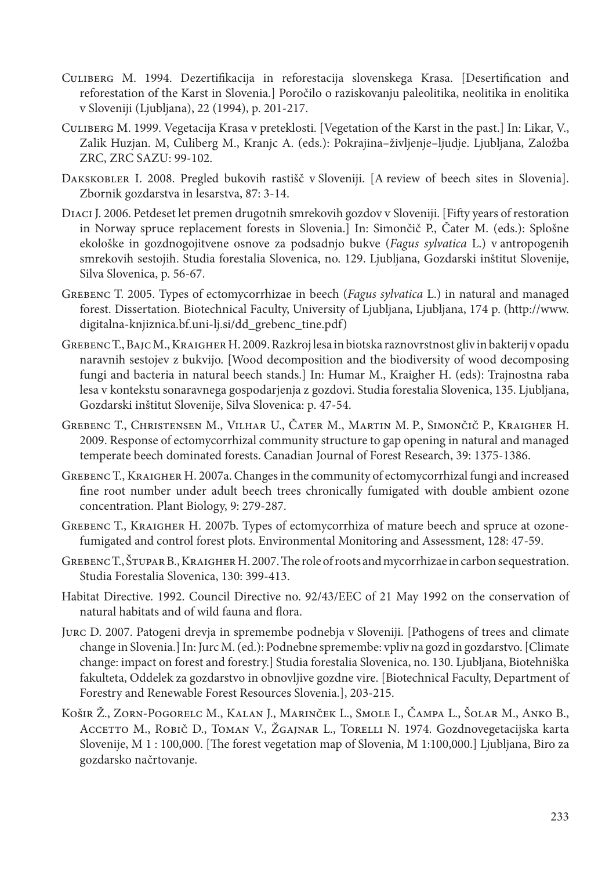- Culiberg M. 1994. Dezertifikacija in reforestacija slovenskega Krasa. [Desertification and reforestation of the Karst in Slovenia.] Poročilo o raziskovanju paleolitika, neolitika in enolitika v Sloveniji (Ljubljana), 22 (1994), p. 201-217.
- Culiberg M. 1999. Vegetacija Krasa v preteklosti. [Vegetation of the Karst in the past.] In: Likar, V., Zalik Huzjan. M, Culiberg M., Kranjc A. (eds.): Pokrajina–življenje–ljudje. Ljubljana, Založba ZRC, ZRC SAZU: 99-102.
- Dakskobler I. 2008. Pregled bukovih rastišč v Sloveniji. [A review of beech sites in Slovenia]. Zbornik gozdarstva in lesarstva, 87: 3-14.
- Diaci J. 2006. Petdeset let premen drugotnih smrekovih gozdov v Sloveniji. [Fifty years of restoration in Norway spruce replacement forests in Slovenia.] In: Simončič P., Čater M. (eds.): Splošne ekološke in gozdnogojitvene osnove za podsadnjo bukve (*Fagus sylvatica* L.) v antropogenih smrekovih sestojih. Studia forestalia Slovenica, no. 129. Ljubljana, Gozdarski inštitut Slovenije, Silva Slovenica, p. 56-67.
- Grebenc T. 2005. Types of ectomycorrhizae in beech (*Fagus sylvatica* L.) in natural and managed forest. Dissertation. Biotechnical Faculty, University of Ljubljana, Ljubljana, 174 p. (http://www. digitalna-knjiznica.bf.uni-lj.si/dd\_grebenc\_tine.pdf)
- Grebenc T., Bajc M., Kraigher H. 2009. Razkroj lesa in biotska raznovrstnost gliv in bakterij v opadu naravnih sestojev z bukvijo. [Wood decomposition and the biodiversity of wood decomposing fungi and bacteria in natural beech stands.] In: Humar M., Kraigher H. (eds): Trajnostna raba lesa v kontekstu sonaravnega gospodarjenja z gozdovi. Studia forestalia Slovenica, 135. Ljubljana, Gozdarski inštitut Slovenije, Silva Slovenica: p. 47-54.
- Grebenc T., Christensen M., Vilhar U., Čater M., Martin M. P., Simončič P., Kraigher H. 2009. Response of ectomycorrhizal community structure to gap opening in natural and managed temperate beech dominated forests. Canadian Journal of Forest Research, 39: 1375-1386.
- Grebenc T., Kraigher H. 2007a. Changes in the community of ectomycorrhizal fungi and increased fine root number under adult beech trees chronically fumigated with double ambient ozone concentration. Plant Biology, 9: 279-287.
- Grebenc T., Kraigher H. 2007b. Types of ectomycorrhiza of mature beech and spruce at ozonefumigated and control forest plots. Environmental Monitoring and Assessment, 128: 47-59.
- Grebenc T., Štupar B., Kraigher H. 2007. The role of roots and mycorrhizae in carbon sequestration. Studia Forestalia Slovenica, 130: 399-413.
- Habitat Directive. 1992. Council Directive no. 92/43/EEC of 21 May 1992 on the conservation of natural habitats and of wild fauna and flora.
- Jurc D. 2007. Patogeni drevja in spremembe podnebja v Sloveniji. [Pathogens of trees and climate change in Slovenia.] In: Jurc M. (ed.): Podnebne spremembe: vpliv na gozd in gozdarstvo. [Climate change: impact on forest and forestry.] Studia forestalia Slovenica, no. 130. Ljubljana, Biotehniška fakulteta, Oddelek za gozdarstvo in obnovljive gozdne vire. [Biotechnical Faculty, Department of Forestry and Renewable Forest Resources Slovenia.], 203-215.
- Košir Ž., Zorn-Pogorelc M., Kalan J., Marinček L., Smole I., Čampa L., Šolar M., Anko B., Accetto M., Robič D., Toman V., Žgajnar L., Torelli N. 1974. Gozdnovegetacijska karta Slovenije, M 1 : 100,000. [The forest vegetation map of Slovenia, M 1:100,000.] Ljubljana, Biro za gozdarsko načrtovanje.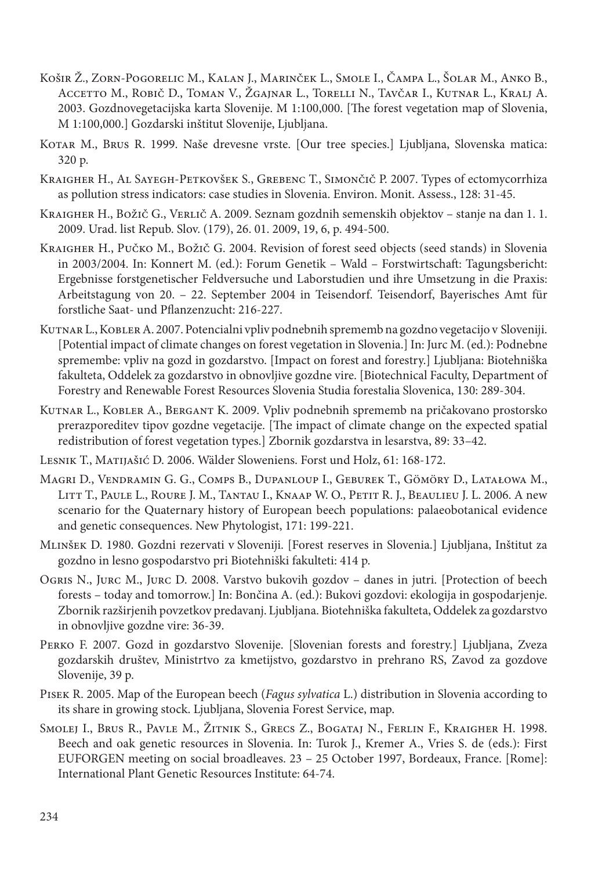- Košir Ž., Zorn-Pogorelic M., Kalan J., Marinček L., Smole I., Čampa L., Šolar M., Anko B., Accetto M., Robič D., Toman V., Žgajnar L., Torelli N., Tavčar I., Kutnar L., Kralj A. 2003. Gozdnovegetacijska karta Slovenije. M 1:100,000. [The forest vegetation map of Slovenia, M 1:100,000.] Gozdarski inštitut Slovenije, Ljubljana.
- Kotar M., Brus R. 1999. Naše drevesne vrste. [Our tree species.] Ljubljana, Slovenska matica: 320 p.
- Kraigher H., Al Sayegh-Petkovšek S., Grebenc T., Simončič P. 2007. Types of ectomycorrhiza as pollution stress indicators: case studies in Slovenia. Environ. Monit. Assess., 128: 31-45.
- KRAIGHER H., BOŽIČ G., VERLIČ A. 2009. Seznam gozdnih semenskih objektov stanje na dan 1. 1. 2009. Urad. list Repub. Slov. (179), 26. 01. 2009, 19, 6, p. 494-500.
- Kraigher H., Pučko M., Božič G. 2004. Revision of forest seed objects (seed stands) in Slovenia in 2003/2004. In: Konnert M. (ed.): Forum Genetik – Wald – Forstwirtschaft: Tagungsbericht: Ergebnisse forstgenetischer Feldversuche und Laborstudien und ihre Umsetzung in die Praxis: Arbeitstagung von 20. – 22. September 2004 in Teisendorf. Teisendorf, Bayerisches Amt für forstliche Saat- und Pflanzenzucht: 216-227.
- Kutnar L., Kobler A. 2007. Potencialni vpliv podnebnih sprememb na gozdno vegetacijo v Sloveniji. [Potential impact of climate changes on forest vegetation in Slovenia.] In: Jurc M. (ed.): Podnebne spremembe: vpliv na gozd in gozdarstvo. [Impact on forest and forestry.] Ljubljana: Biotehniška fakulteta, Oddelek za gozdarstvo in obnovljive gozdne vire. [Biotechnical Faculty, Department of Forestry and Renewable Forest Resources Slovenia Studia forestalia Slovenica, 130: 289-304.
- Kutnar L., Kobler A., Bergant K. 2009. Vpliv podnebnih sprememb na pričakovano prostorsko prerazporeditev tipov gozdne vegetacije. [The impact of climate change on the expected spatial redistribution of forest vegetation types.] Zbornik gozdarstva in lesarstva, 89: 33–42.
- Lesnik T., Matijašić D. 2006. Wälder Sloweniens. Forst und Holz, 61: 168-172.
- Magri D., Vendramin G. G., Comps B., Dupanloup I., Geburek T., Gömöry D., Latałowa M., Litt T., Paule L., Roure J. M., Tantau I., Knaap W. O., Petit R. J., Beaulieu J. L. 2006. A new scenario for the Quaternary history of European beech populations: palaeobotanical evidence and genetic consequences. New Phytologist, 171: 199-221.
- Mlinšek D. 1980. Gozdni rezervati v Sloveniji. [Forest reserves in Slovenia.] Ljubljana, Inštitut za gozdno in lesno gospodarstvo pri Biotehniški fakulteti: 414 p.
- Ogris N., Jurc M., Jurc D. 2008. Varstvo bukovih gozdov danes in jutri. [Protection of beech forests – today and tomorrow.] In: Bončina A. (ed.): Bukovi gozdovi: ekologija in gospodarjenje. Zbornik razširjenih povzetkov predavanj. Ljubljana. Biotehniška fakulteta, Oddelek za gozdarstvo in obnovljive gozdne vire: 36-39.
- Perko F. 2007. Gozd in gozdarstvo Slovenije. [Slovenian forests and forestry.] Ljubljana, Zveza gozdarskih društev, Ministrtvo za kmetijstvo, gozdarstvo in prehrano RS, Zavod za gozdove Slovenije, 39 p.
- Pisek R. 2005. Map of the European beech (*Fagus sylvatica* L.) distribution in Slovenia according to its share in growing stock. Ljubljana, Slovenia Forest Service, map.
- Smolej I., Brus R., Pavle M., Žitnik S., Grecs Z., Bogataj N., Ferlin F., Kraigher H. 1998. Beech and oak genetic resources in Slovenia. In: Turok J., Kremer A., Vries S. de (eds.): First EUFORGEN meeting on social broadleaves. 23 – 25 October 1997, Bordeaux, France. [Rome]: International Plant Genetic Resources Institute: 64-74.